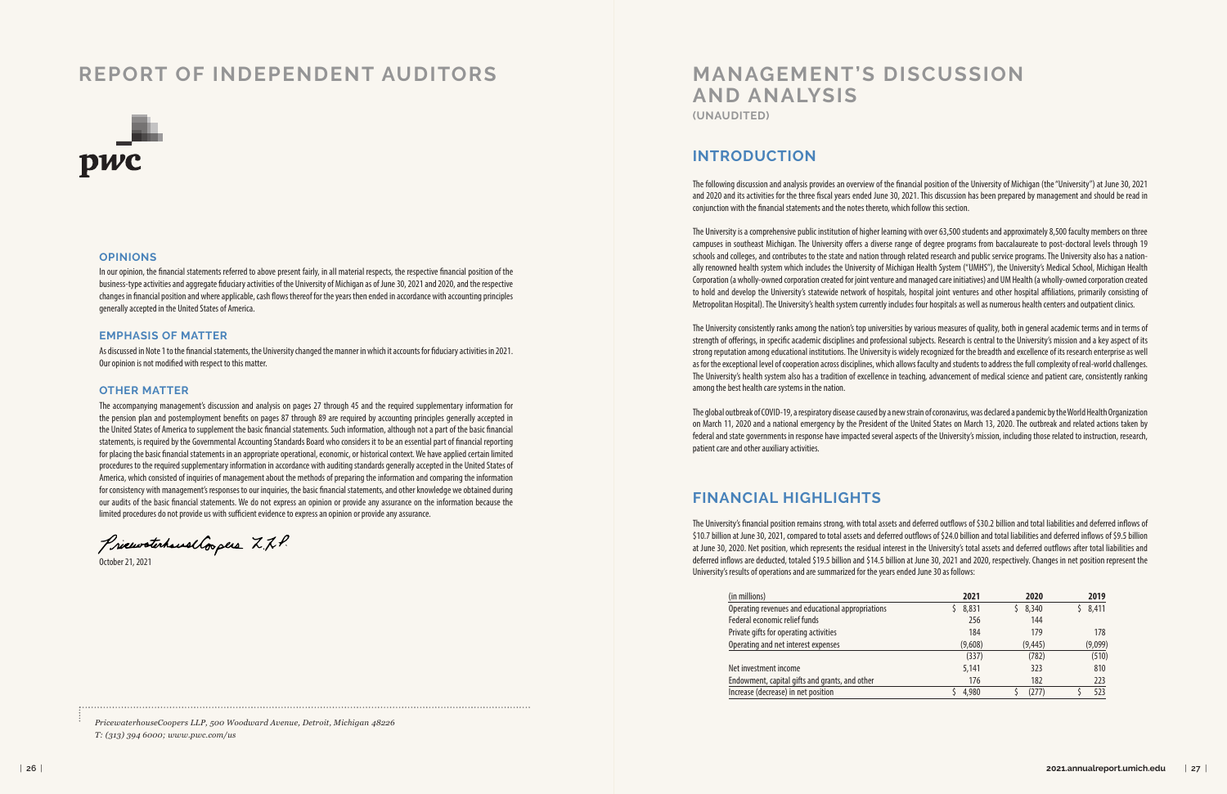# **MANAGEMENT'S DISCUSSION AND ANALYSIS (UNAUDITED)**

## **INTRODUCTION**

The following discussion and analysis provides an overview of the financial position of the University of Michigan (the "University") at June 30, 2021 and 2020 and its activities for the three fiscal years ended June 30, 2021. This discussion has been prepared by management and should be read in conjunction with the financial statements and the notes thereto, which follow this section.

The University is a comprehensive public institution of higher learning with over 63,500 students and approximately 8,500 faculty members on three campuses in southeast Michigan. The University offers a diverse range of degree programs from baccalaureate to post-doctoral levels through 19 schools and colleges, and contributes to the state and nation through related research and public service programs. The University also has a nationally renowned health system which includes the University of Michigan Health System ("UMHS"), the University's Medical School, Michigan Health Corporation (a wholly-owned corporation created for joint venture and managed care initiatives) and UM Health (a wholly-owned corporation created to hold and develop the University's statewide network of hospitals, hospital joint ventures and other hospital affiliations, primarily consisting of Metropolitan Hospital). The University's health system currently includes four hospitals as well as numerous health centers and outpatient clinics.

The University consistently ranks among the nation's top universities by various measures of quality, both in general academic terms and in terms of strength of offerings, in specific academic disciplines and professional subjects. Research is central to the University's mission and a key aspect of its strong reputation among educational institutions. The University is widely recognized for the breadth and excellence of its research enterprise as well as for the exceptional level of cooperation across disciplines, which allows faculty and students to address the full complexity of real-world challenges. The University's health system also has a tradition of excellence in teaching, advancement of medical science and patient care, consistently ranking among the best health care systems in the nation.

The global outbreak of COVID-19, a respiratory disease caused by a new strain of coronavirus, was declared a pandemic by the World Health Organization on March 11, 2020 and a national emergency by the President of the United States on March 13, 2020. The outbreak and related actions taken by federal and state governments in response have impacted several aspects of the University's mission, including those related to instruction, research, patient care and other auxiliary activities.

#### **FINANCIAL HIGHLIGHTS**

The University's financial position remains strong, with total assets and deferred outflows of \$30.2 billion and total liabilities and deferred inflows of \$10.7 billion at June 30, 2021, compared to total assets and deferred outflows of \$24.0 billion and total liabilities and deferred inflows of \$9.5 billion at June 30, 2020. Net position, which represents the residual interest in the University's total assets and deferred outflows after total liabilities and deferred inflows are deducted, totaled \$19.5 billion and \$14.5 billion at June 30, 2021 and 2020, respectively. Changes in net position represent the University's results of operations and are summarized for the years ended June 30 as follows:

| (in millions)                                     | 2021    | 2020     | 2019    |
|---------------------------------------------------|---------|----------|---------|
| Operating revenues and educational appropriations | 8,831   | 8,340    | 8,411   |
| Federal economic relief funds                     | 256     | 144      |         |
| Private gifts for operating activities            | 184     | 179      | 178     |
| Operating and net interest expenses               | (9,608) | (9, 445) | (9,099) |
|                                                   | (337)   | (782)    | (510)   |
| Net investment income                             | 5,141   | 323      | 810     |
| Endowment, capital gifts and grants, and other    | 176     | 182      | 223     |
| Increase (decrease) in net position               | 4,980   | (277)    | 523     |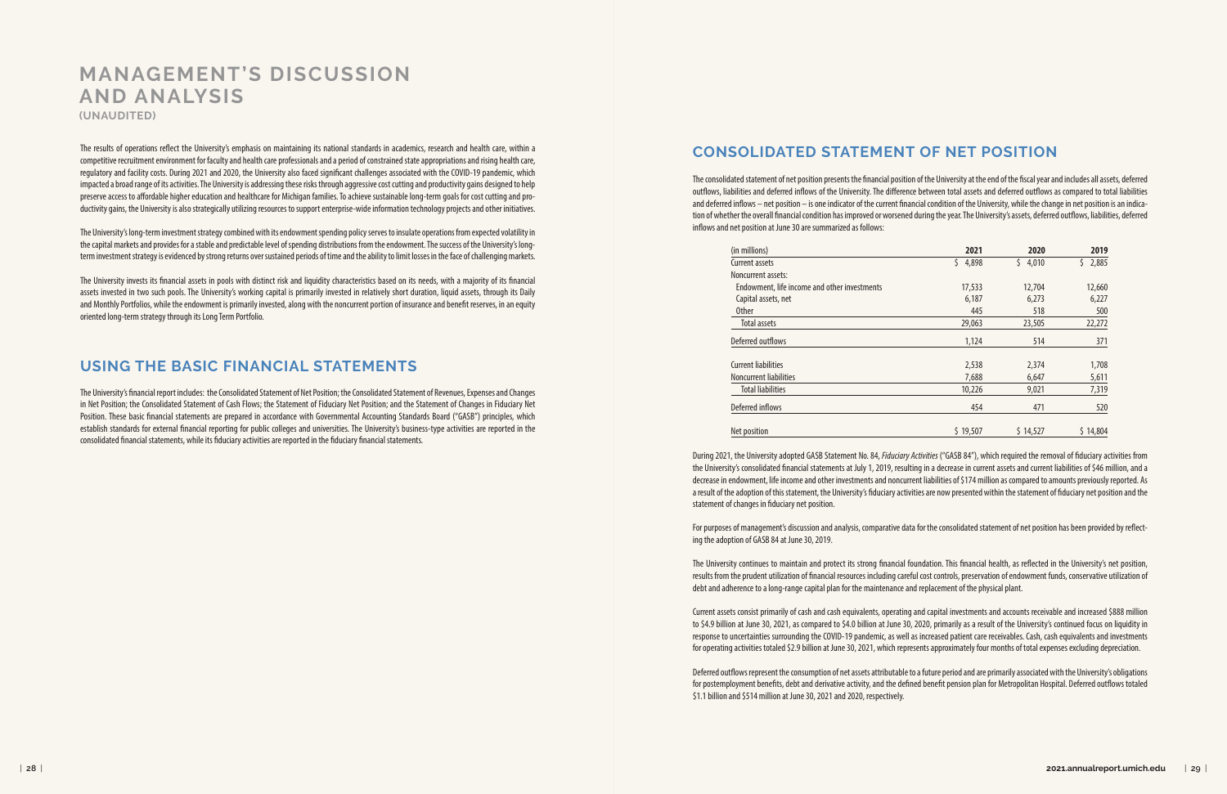The results of operations reflect the University's emphasis on maintaining its national standards in academics, research and health care, within a competitive recruitment environment for faculty and health care professionals and a period of constrained state appropriations and rising health care, regulatory and facility costs. During 2021 and 2020, the University also faced significant challenges associated with the COVID-19 pandemic, which impacted a broad range of its activities. The University is addressing these risks through aggressive cost cutting and productivity gains designed to help preserve access to affordable higher education and healthcare for Michigan families. To achieve sustainable long-term goals for cost cutting and productivity gains, the University is also strategically utilizing resources to support enterprise-wide information technology projects and other initiatives.

The University's long-term investment strategy combined with its endowment spending policy serves to insulate operations from expected volatility in the capital markets and provides for a stable and predictable level of spending distributions from the endowment. The success of the University's longterm investment strategy is evidenced by strong returns over sustained periods of time and the ability to limit losses in the face of challenging markets.

The University invests its financial assets in pools with distinct risk and liquidity characteristics based on its needs, with a majority of its financial assets invested in two such pools. The University's working capital is primarily invested in relatively short duration, liquid assets, through its Daily and Monthly Portfolios, while the endowment is primarily invested, along with the noncurrent portion of insurance and benefit reserves, in an equity oriented long-term strategy through its Long Term Portfolio.

#### **USING THE BASIC FINANCIAL STATEMENTS**

The University's financial report includes: the Consolidated Statement of Net Position; the Consolidated Statement of Revenues, Expenses and Changes in Net Position; the Consolidated Statement of Cash Flows; the Statement of Fiduciary Net Position; and the Statement of Changes in Fiduciary Net Position. These basic financial statements are prepared in accordance with Governmental Accounting Standards Board ("GASB") principles, which establish standards for external financial reporting for public colleges and universities. The University's business-type activities are reported in the consolidated financial statements, while its fiduciary activities are reported in the fiduciary financial statements.

# **CONSOLIDATED STATEMENT OF NET POSITION**

The consolidated statement of net position presents the financial position of the University at the end of the fiscal year and includes all assets, deferred outflows, liabilities and deferred inflows of the University. The difference between total assets and deferred outflows as compared to total liabilities and deferred inflows – net position – is one indicator of the current financial condition of the University, while the change in net position is an indication of whether the overall financial condition has improved or worsened during the year. The University's assets, deferred outflows, liabilities, deferred inflows and net position at June 30 are summarized as follows:

During 2021, the University adopted GASB Statement No. 84, *Fiduciary Activities* ("GASB 84"), which required the removal of fiduciary activities from the University's consolidated financial statements at July 1, 2019, resulting in a decrease in current assets and current liabilities of \$46 million, and a decrease in endowment, life income and other investments and noncurrent liabilities of \$174 million as compared to amounts previously reported. As a result of the adoption of this statement, the University's fiduciary activities are now presented within the statement of fiduciary net position and the statement of changes in fiduciary net position.

For purposes of management's discussion and analysis, comparative data for the consolidated statement of net position has been provided by reflecting the adoption of GASB 84 at June 30, 2019.

The University continues to maintain and protect its strong financial foundation. This financial health, as reflected in the University's net position, results from the prudent utilization of financial resources including careful cost controls, preservation of endowment funds, conservative utilization of debt and adherence to a long-range capital plan for the maintenance and replacement of the physical plant.

Current assets consist primarily of cash and cash equivalents, operating and capital investments and accounts receivable and increased \$888 million to \$4.9 billion at June 30, 2021, as compared to \$4.0 billion at June 30, 2020, primarily as a result of the University's continued focus on liquidity in response to uncertainties surrounding the COVID-19 pandemic, as well as increased patient care receivables. Cash, cash equivalents and investments for operating activities totaled \$2.9 billion at June 30, 2021, which represents approximately four months of total expenses excluding depreciation.

Deferred outflows represent the consumption of net assets attributable to a future period and are primarily associated with the University's obligations for postemployment benefits, debt and derivative activity, and the defined benefit pension plan for Metropolitan Hospital. Deferred outflows totaled \$1.1 billion and \$514 million at June 30, 2021 and 2020, respectively.

# **MANAGEMENT'S DISCUSSION AND ANALYSIS (UNAUDITED)**

| (in millions)                                | 2021        | 2020        | 2019        |
|----------------------------------------------|-------------|-------------|-------------|
| <b>Current assets</b>                        | 4,898<br>\$ | 4,010<br>\$ | 2,885<br>\$ |
| Noncurrent assets:                           |             |             |             |
| Endowment, life income and other investments | 17,533      | 12,704      | 12,660      |
| Capital assets, net                          | 6,187       | 6,273       | 6,227       |
| <b>Other</b>                                 | 445         | 518         | 500         |
| <b>Total assets</b>                          | 29,063      | 23,505      | 22,272      |
| Deferred outflows                            | 1,124       | 514         | 371         |
| <b>Current liabilities</b>                   | 2,538       | 2,374       | 1,708       |
| <b>Noncurrent liabilities</b>                | 7,688       | 6,647       | 5,611       |
| <b>Total liabilities</b>                     | 10,226      | 9,021       | 7,319       |
| Deferred inflows                             | 454         | 471         | 520         |
| Net position                                 | \$19,507    | \$14,527    | \$14,804    |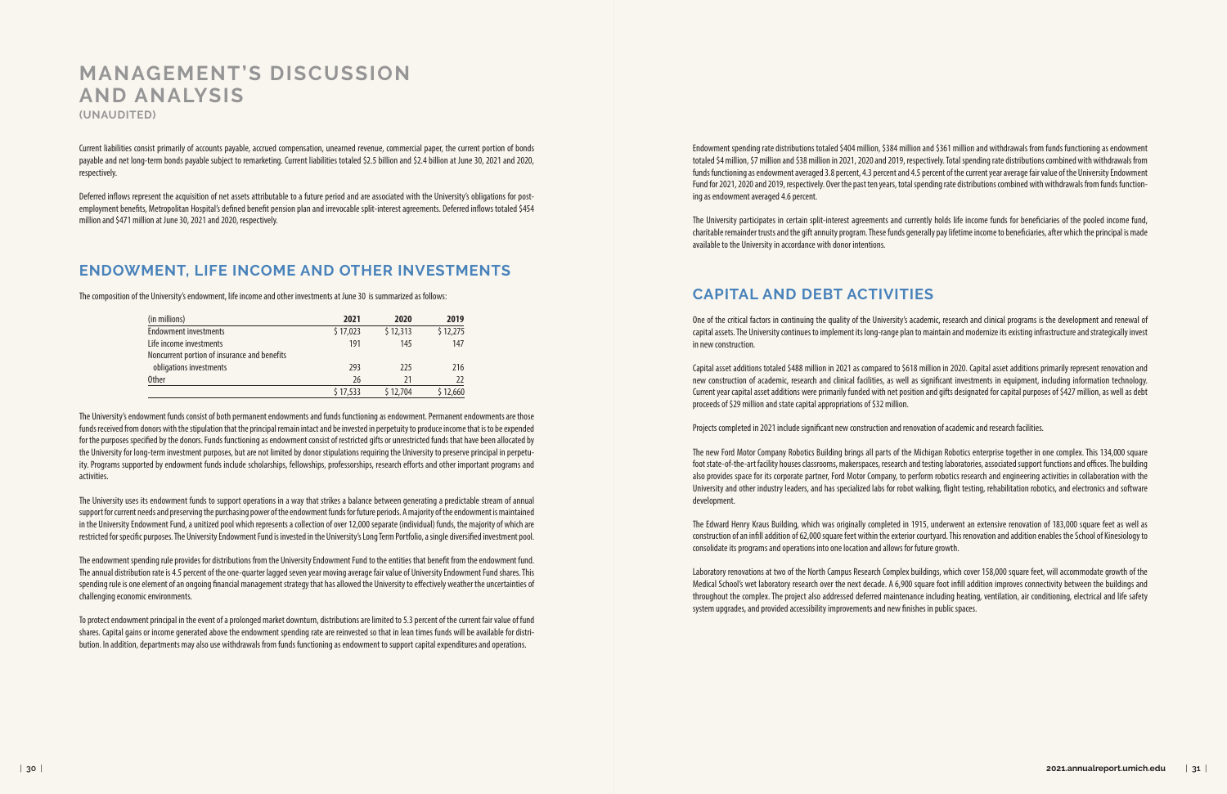Current liabilities consist primarily of accounts payable, accrued compensation, unearned revenue, commercial paper, the current portion of bonds payable and net long-term bonds payable subject to remarketing. Current liabilities totaled \$2.5 billion and \$2.4 billion at June 30, 2021 and 2020, respectively.

Deferred inflows represent the acquisition of net assets attributable to a future period and are associated with the University's obligations for postemployment benefits, Metropolitan Hospital's defined benefit pension plan and irrevocable split-interest agreements. Deferred inflows totaled \$454 million and \$471 million at June 30, 2021 and 2020, respectively.

#### **ENDOWMENT, LIFE INCOME AND OTHER INVESTMENTS**

The composition of the University's endowment, life income and other investments at June 30 is summarized as follows:

The University's endowment funds consist of both permanent endowments and funds functioning as endowment. Permanent endowments are those funds received from donors with the stipulation that the principal remain intact and be invested in perpetuity to produce income that is to be expended for the purposes specified by the donors. Funds functioning as endowment consist of restricted gifts or unrestricted funds that have been allocated by the University for long-term investment purposes, but are not limited by donor stipulations requiring the University to preserve principal in perpetuity. Programs supported by endowment funds include scholarships, fellowships, professorships, research efforts and other important programs and activities.

The University uses its endowment funds to support operations in a way that strikes a balance between generating a predictable stream of annual support for current needs and preserving the purchasing power of the endowment funds for future periods. A majority of the endowment is maintained in the University Endowment Fund, a unitized pool which represents a collection of over 12,000 separate (individual) funds, the majority of which are restricted for specific purposes. The University Endowment Fund is invested in the University's Long Term Portfolio, a single diversified investment pool.

The endowment spending rule provides for distributions from the University Endowment Fund to the entities that benefit from the endowment fund. The annual distribution rate is 4.5 percent of the one-quarter lagged seven year moving average fair value of University Endowment Fund shares. This spending rule is one element of an ongoing financial management strategy that has allowed the University to effectively weather the uncertainties of challenging economic environments.

To protect endowment principal in the event of a prolonged market downturn, distributions are limited to 5.3 percent of the current fair value of fund shares. Capital gains or income generated above the endowment spending rate are reinvested so that in lean times funds will be available for distribution. In addition, departments may also use withdrawals from funds functioning as endowment to support capital expenditures and operations.

Endowment spending rate distributions totaled \$404 million, \$384 million and \$361 million and withdrawals from funds functioning as endowment totaled \$4 million, \$7 million and \$38 million in 2021, 2020 and 2019, respectively. Total spending rate distributions combined with withdrawals from funds functioning as endowment averaged 3.8 percent, 4.3 percent and 4.5 percent of the current year average fair value of the University Endowment Fund for 2021, 2020 and 2019, respectively. Over the past ten years, total spending rate distributions combined with withdrawals from funds functioning as endowment averaged 4.6 percent.

The University participates in certain split-interest agreements and currently holds life income funds for beneficiaries of the pooled income fund, charitable remainder trusts and the gift annuity program. These funds generally pay lifetime income to beneficiaries, after which the principal is made available to the University in accordance with donor intentions.

## **CAPITAL AND DEBT ACTIVITIES**

One of the critical factors in continuing the quality of the University's academic, research and clinical programs is the development and renewal of capital assets. The University continues to implement its long-range plan to maintain and modernize its existing infrastructure and strategically invest in new construction.

Capital asset additions totaled \$488 million in 2021 as compared to \$618 million in 2020. Capital asset additions primarily represent renovation and new construction of academic, research and clinical facilities, as well as significant investments in equipment, including information technology. Current year capital asset additions were primarily funded with net position and gifts designated for capital purposes of \$427 million, as well as debt proceeds of \$29 million and state capital appropriations of \$32 million.

Projects completed in 2021 include significant new construction and renovation of academic and research facilities.

The new Ford Motor Company Robotics Building brings all parts of the Michigan Robotics enterprise together in one complex. This 134,000 square foot state-of-the-art facility houses classrooms, makerspaces, research and testing laboratories, associated support functions and offices. The building also provides space for its corporate partner, Ford Motor Company, to perform robotics research and engineering activities in collaboration with the University and other industry leaders, and has specialized labs for robot walking, flight testing, rehabilitation robotics, and electronics and software development.

The Edward Henry Kraus Building, which was originally completed in 1915, underwent an extensive renovation of 183,000 square feet as well as construction of an infill addition of 62,000 square feet within the exterior courtyard. This renovation and addition enables the School of Kinesiology to consolidate its programs and operations into one location and allows for future growth.

Laboratory renovations at two of the North Campus Research Complex buildings, which cover 158,000 square feet, will accommodate growth of the Medical School's wet laboratory research over the next decade. A 6,900 square foot infill addition improves connectivity between the buildings and throughout the complex. The project also addressed deferred maintenance including heating, ventilation, air conditioning, electrical and life safety system upgrades, and provided accessibility improvements and new finishes in public spaces.

# **MANAGEMENT'S DISCUSSION AND ANALYSIS**

**(UNAUDITED)**

| (in millions)                                | 2021     | 2020     | 2019     |
|----------------------------------------------|----------|----------|----------|
| <b>Endowment investments</b>                 | \$17,023 | \$12,313 | \$12,275 |
| Life income investments                      | 191      | 145      | 147      |
| Noncurrent portion of insurance and benefits |          |          |          |
| obligations investments                      | 293      | 225      | 216      |
| Other                                        | 26       | 21       | 22       |
|                                              | \$17,533 | \$12.704 | 5 12.660 |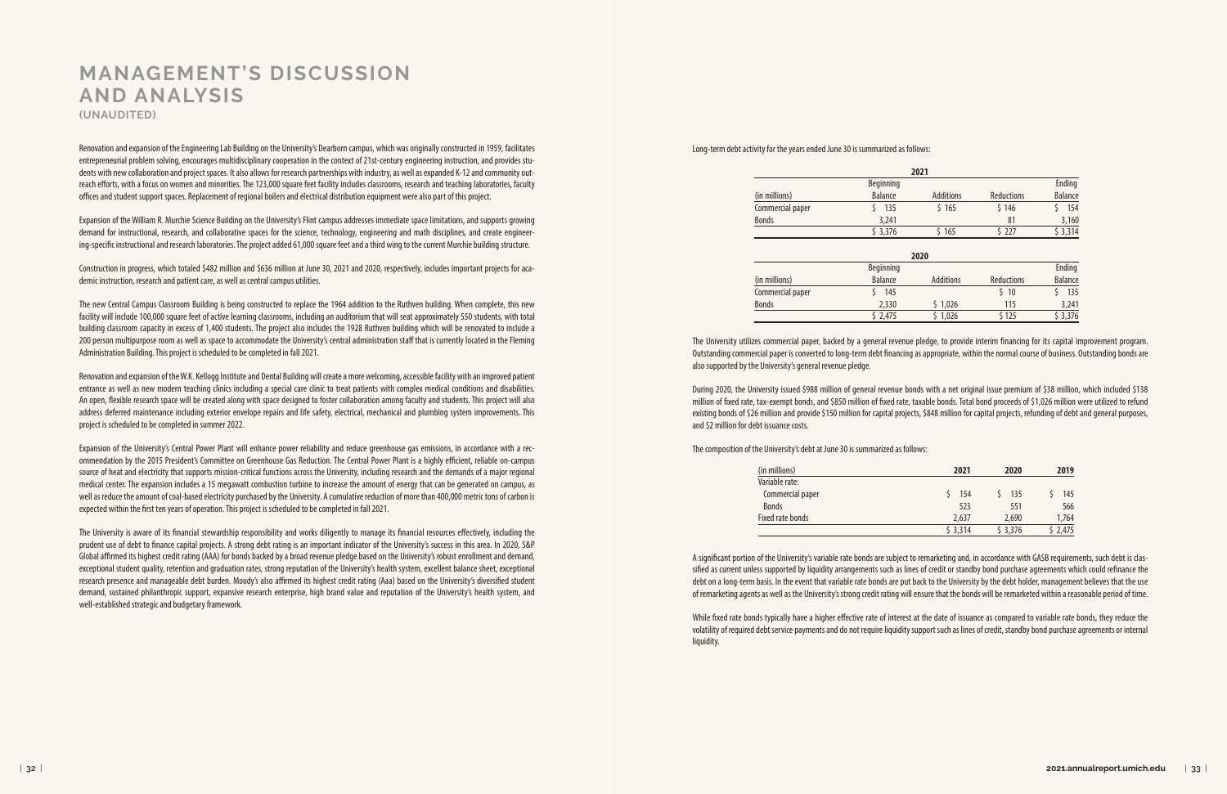Renovation and expansion of the Engineering Lab Building on the University's Dearborn campus, which was originally constructed in 1959, facilitates entrepreneurial problem solving, encourages multidisciplinary cooperation in the context of 21st-century engineering instruction, and provides students with new collaboration and project spaces. It also allows for research partnerships with industry, as well as expanded K-12 and community outreach efforts, with a focus on women and minorities. The 123,000 square feet facility includes classrooms, research and teaching laboratories, faculty offices and student support spaces. Replacement of regional boilers and electrical distribution equipment were also part of this project.

Expansion of the William R. Murchie Science Building on the University's Flint campus addresses immediate space limitations, and supports growing demand for instructional, research, and collaborative spaces for the science, technology, engineering and math disciplines, and create engineering-specific instructional and research laboratories. The project added 61,000 square feet and a third wing to the current Murchie building structure.

Construction in progress, which totaled \$482 million and \$636 million at June 30, 2021 and 2020, respectively, includes important projects for academic instruction, research and patient care, as well as central campus utilities.

The new Central Campus Classroom Building is being constructed to replace the 1964 addition to the Ruthven building. When complete, this new facility will include 100,000 square feet of active learning classrooms, including an auditorium that will seat approximately 550 students, with total building classroom capacity in excess of 1,400 students. The project also includes the 1928 Ruthven building which will be renovated to include a 200 person multipurpose room as well as space to accommodate the University's central administration staff that is currently located in the Fleming Administration Building. This project is scheduled to be completed in fall 2021.

Renovation and expansion of the W.K. Kellogg Institute and Dental Building will create a more welcoming, accessible facility with an improved patient entrance as well as new modern teaching clinics including a special care clinic to treat patients with complex medical conditions and disabilities. An open, flexible research space will be created along with space designed to foster collaboration among faculty and students. This project will also address deferred maintenance including exterior envelope repairs and life safety, electrical, mechanical and plumbing system improvements. This project is scheduled to be completed in summer 2022.

Expansion of the University's Central Power Plant will enhance power reliability and reduce greenhouse gas emissions, in accordance with a recommendation by the 2015 President's Committee on Greenhouse Gas Reduction. The Central Power Plant is a highly efficient, reliable on-campus source of heat and electricity that supports mission-critical functions across the University, including research and the demands of a major regional medical center. The expansion includes a 15 megawatt combustion turbine to increase the amount of energy that can be generated on campus, as well as reduce the amount of coal-based electricity purchased by the University. A cumulative reduction of more than 400,000 metric tons of carbon is expected within the first ten years of operation. This project is scheduled to be completed in fall 2021.

The University is aware of its financial stewardship responsibility and works diligently to manage its financial resources effectively, including the prudent use of debt to finance capital projects. A strong debt rating is an important indicator of the University's success in this area. In 2020, S&P Global affirmed its highest credit rating (AAA) for bonds backed by a broad revenue pledge based on the University's robust enrollment and demand, exceptional student quality, retention and graduation rates, strong reputation of the University's health system, excellent balance sheet, exceptional research presence and manageable debt burden. Moody's also affirmed its highest credit rating (Aaa) based on the University's diversified student demand, sustained philanthropic support, expansive research enterprise, high brand value and reputation of the University's health system, and well-established strategic and budgetary framework.

Long-term debt activity for the years ended June 30 is summarized as follows:

The University utilizes commercial paper, backed by a general revenue pledge, to provide interim financing for its capital improvement program. Outstanding commercial paper is converted to long-term debt financing as appropriate, within the normal course of business. Outstanding bonds are also supported by the University's general revenue pledge.

During 2020, the University issued \$988 million of general revenue bonds with a net original issue premium of \$38 million, which included \$138 million of fixed rate, tax-exempt bonds, and \$850 million of fixed rate, taxable bonds. Total bond proceeds of \$1,026 million were utilized to refund existing bonds of \$26 million and provide \$150 million for capital projects, \$848 million for capital projects, refunding of debt and general purposes, and \$2 million for debt issuance costs.

The composition of the University's debt at June 30 is summarized as follows:

A significant portion of the University's variable rate bonds are subject to remarketing and, in accordance with GASB requirements, such debt is classified as current unless supported by liquidity arrangements such as lines of credit or standby bond purchase agreements which could refinance the debt on a long-term basis. In the event that variable rate bonds are put back to the University by the debt holder, management believes that the use of remarketing agents as well as the University's strong credit rating will ensure that the bonds will be remarketed within a reasonable period of time.

While fixed rate bonds typically have a higher effective rate of interest at the date of issuance as compared to variable rate bonds, they reduce the volatility of required debt service payments and do not require liquidity support such as lines of credit, standby bond purchase agreements or internal liquidity.

# **MANAGEMENT'S DISCUSSION AND ANALYSIS (UNAUDITED)**

|                  |                | 2021             |            |                |
|------------------|----------------|------------------|------------|----------------|
|                  | Beginning      |                  |            | Ending         |
| (in millions)    | <b>Balance</b> | <b>Additions</b> | Reductions | <b>Balance</b> |
| Commercial paper | 135<br>Ś.      | \$165            | \$146      | \$<br>154      |
| <b>Bonds</b>     | 3,241          |                  | 81         | 3,160          |
|                  | \$3,376        | \$165            | \$ 227     | \$3,314        |
|                  |                | 2020             |            |                |
|                  | Beginning      |                  |            | Ending         |
| (in millions)    | <b>Balance</b> | <b>Additions</b> | Reductions | <b>Balance</b> |
| Commercial paper | 145<br>Š.      |                  | \$10       | 135<br>Ś       |
| <b>Bonds</b>     | 2,330          | \$1,026          | 115        | 3,241          |
|                  | 52.475         | \$1.026          | \$125      | \$3.376        |

|                  |                  | 2021             |               |                |
|------------------|------------------|------------------|---------------|----------------|
|                  | <b>Beginning</b> |                  |               | Ending         |
| (in millions)    | <b>Balance</b>   | <b>Additions</b> | Reductions    | <b>Balance</b> |
| Commercial paper | 135              | \$165            | \$146         | 154<br>\$      |
| <b>Bonds</b>     | 3,241            |                  | 81            | 3,160          |
|                  | \$3,376          | \$165            | \$227         | \$3,314        |
|                  |                  | 2020             |               |                |
|                  | Beginning        |                  |               | Ending         |
| (in millions)    | <b>Balance</b>   | <b>Additions</b> | Reductions    | <b>Balance</b> |
| Commercial paper | 145              |                  | 10<br>$\zeta$ | 135<br>Š.      |
| <b>Bonds</b>     | 2,330            | \$1,026          | 115           | 3,241          |
|                  | \$ 2,475         | \$1,026          | \$125         | \$3,376        |

| (in millions)    | 2021     | 2020     | 2019  |
|------------------|----------|----------|-------|
| Variable rate:   |          |          |       |
| Commercial paper | 154      | 135      | 145   |
| <b>Bonds</b>     | 523      | 551      | 566   |
| Fixed rate bonds | 2.637    | 2,690    | 1,764 |
|                  | \$ 3.314 | \$ 3,376 | 2.475 |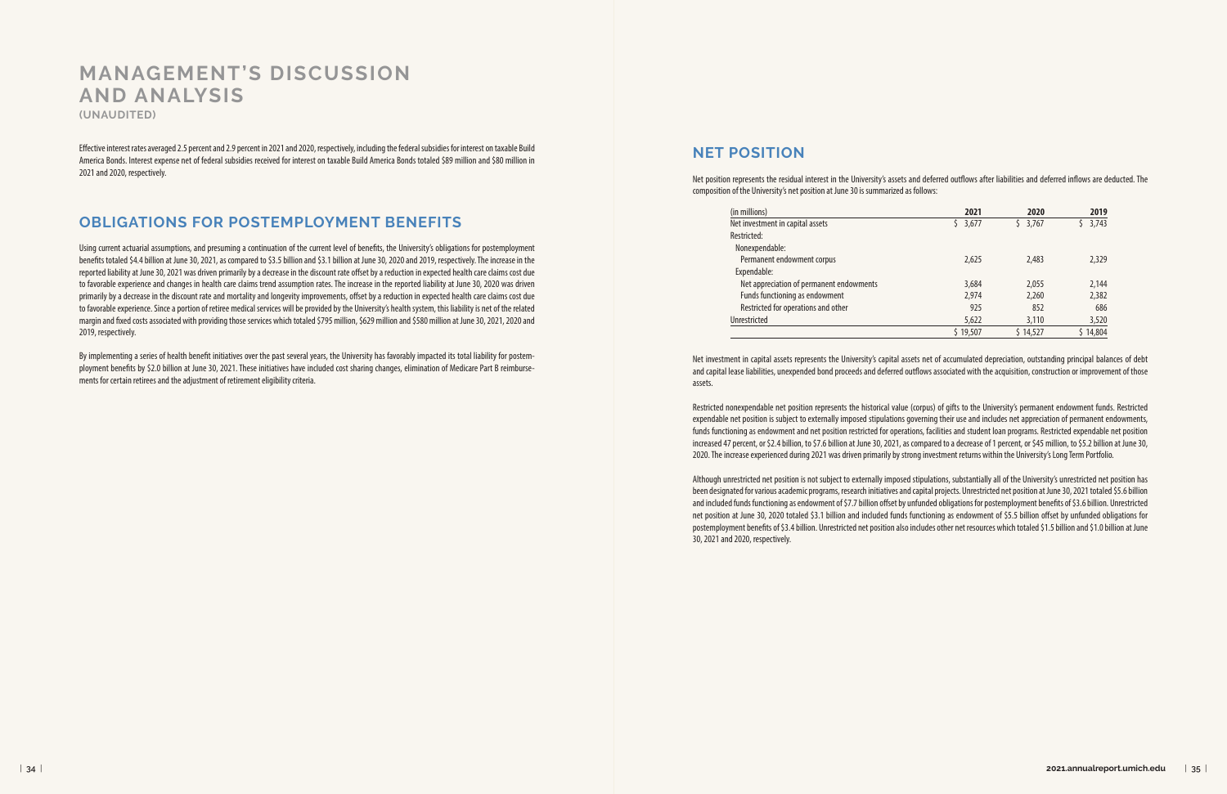Effective interest rates averaged 2.5 percent and 2.9 percent in 2021 and 2020, respectively, including the federal subsidies for interest on taxable Build America Bonds. Interest expense net of federal subsidies received for interest on taxable Build America Bonds totaled \$89 million and \$80 million in 2021 and 2020, respectively.

## **OBLIGATIONS FOR POSTEMPLOYMENT BENEFITS**

Using current actuarial assumptions, and presuming a continuation of the current level of benefits, the University's obligations for postemployment benefits totaled \$4.4 billion at June 30, 2021, as compared to \$3.5 billion and \$3.1 billion at June 30, 2020 and 2019, respectively. The increase in the reported liability at June 30, 2021 was driven primarily by a decrease in the discount rate offset by a reduction in expected health care claims cost due to favorable experience and changes in health care claims trend assumption rates. The increase in the reported liability at June 30, 2020 was driven primarily by a decrease in the discount rate and mortality and longevity improvements, offset by a reduction in expected health care claims cost due to favorable experience. Since a portion of retiree medical services will be provided by the University's health system, this liability is net of the related margin and fixed costs associated with providing those services which totaled \$795 million, \$629 million and \$580 million at June 30, 2021, 2020 and 2019, respectively.

By implementing a series of health benefit initiatives over the past several years, the University has favorably impacted its total liability for postemployment benefits by \$2.0 billion at June 30, 2021. These initiatives have included cost sharing changes, elimination of Medicare Part B reimbursements for certain retirees and the adjustment of retirement eligibility criteria.

#### **NET POSITION**

Net position represents the residual interest in the University's assets and deferred outflows after liabilities and deferred inflows are deducted. The composition of the University's net position at June 30 is summarized as follows:

Net investment in capital assets represents the University's capital assets net of accumulated depreciation, outstanding principal balances of debt and capital lease liabilities, unexpended bond proceeds and deferred outflows associated with the acquisition, construction or improvement of those assets.

Restricted nonexpendable net position represents the historical value (corpus) of gifts to the University's permanent endowment funds. Restricted expendable net position is subject to externally imposed stipulations governing their use and includes net appreciation of permanent endowments, funds functioning as endowment and net position restricted for operations, facilities and student loan programs. Restricted expendable net position increased 47 percent, or \$2.4 billion, to \$7.6 billion at June 30, 2021, as compared to a decrease of 1 percent, or \$45 million, to \$5.2 billion at June 30, 2020. The increase experienced during 2021 was driven primarily by strong investment returns within the University's Long Term Portfolio.

Although unrestricted net position is not subject to externally imposed stipulations, substantially all of the University's unrestricted net position has been designated for various academic programs, research initiatives and capital projects. Unrestricted net position at June 30, 2021 totaled \$5.6 billion and included funds functioning as endowment of \$7.7 billion offset by unfunded obligations for postemployment benefits of \$3.6 billion. Unrestricted net position at June 30, 2020 totaled \$3.1 billion and included funds functioning as endowment of \$5.5 billion offset by unfunded obligations for postemployment benefits of \$3.4 billion. Unrestricted net position also includes other net resources which totaled \$1.5 billion and \$1.0 billion at June 30, 2021 and 2020, respectively.

# **MANAGEMENT'S DISCUSSION AND ANALYSIS**

**(UNAUDITED)**

| (in millions)                            |  |
|------------------------------------------|--|
| Net investment in capital assets         |  |
| Restricted:                              |  |
| Nonexpendable:                           |  |
| Permanent endowment corpus               |  |
| Expendable:                              |  |
| Net appreciation of permanent endowments |  |
| Funds functioning as endowment           |  |
| Restricted for operations and other      |  |
| Unrestricted                             |  |

| (in millions)                            | 2021     | 2020     | 2019     |
|------------------------------------------|----------|----------|----------|
| Net investment in capital assets         | \$3,677  | \$3,767  | 3,743    |
| Restricted:                              |          |          |          |
| Nonexpendable:                           |          |          |          |
| Permanent endowment corpus               | 2,625    | 2,483    | 2,329    |
| Expendable:                              |          |          |          |
| Net appreciation of permanent endowments | 3,684    | 2,055    | 2,144    |
| Funds functioning as endowment           | 2,974    | 2,260    | 2,382    |
| Restricted for operations and other      | 925      | 852      | 686      |
| Unrestricted                             | 5,622    | 3,110    | 3,520    |
|                                          | \$19.507 | \$14,527 | \$14,804 |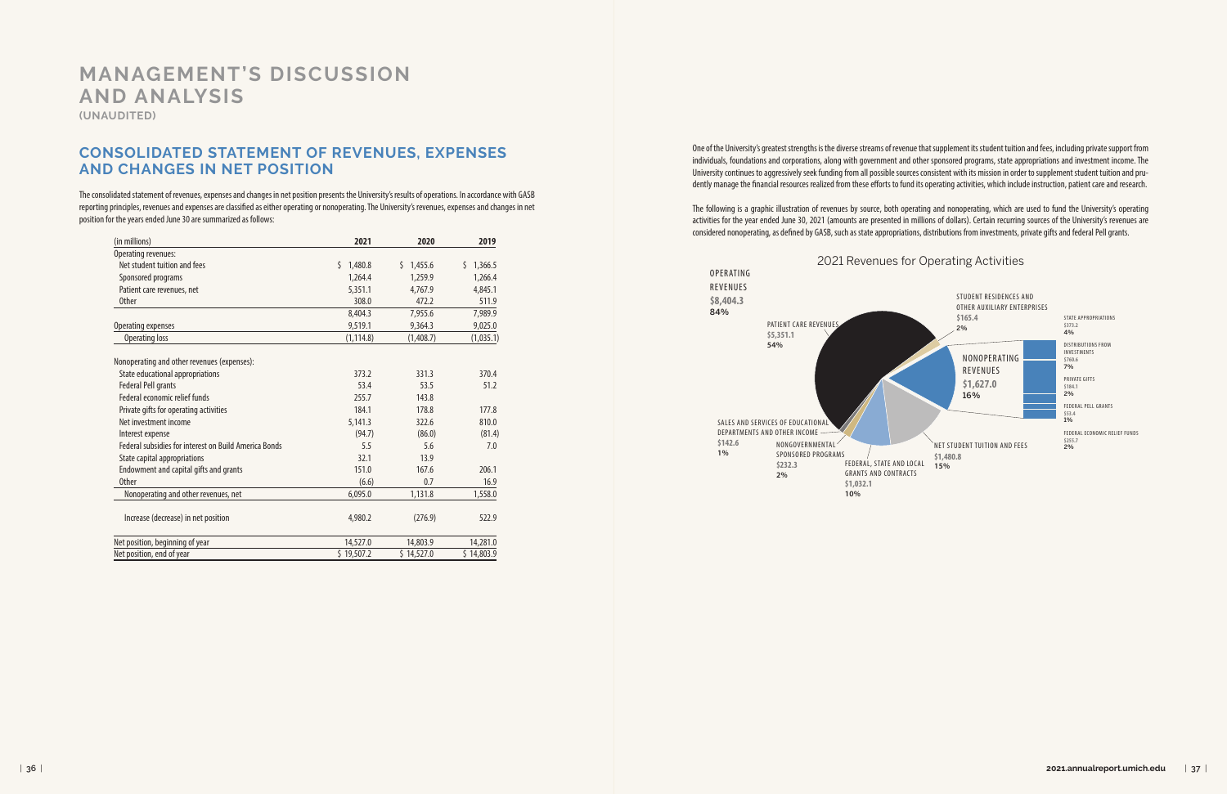One of the University's greatest strengths is the diverse streams of revenue that supplement its student tuition and fees, including private support from individuals, foundations and corporations, along with government and other sponsored programs, state appropriations and investment income. The University continues to aggressively seek funding from all possible sources consistent with its mission in order to supplement student tuition and prudently manage the financial resources realized from these efforts to fund its operating activities, which include instruction, patient care and research.

The following is a graphic illustration of revenues by source, both operating and nonoperating, which are used to fund the University's operating activities for the year ended June 30, 2021 (amounts are presented in millions of dollars). Certain recurring sources of the University's revenues are considered nonoperating, as defined by GASB, such as state appropriations, distributions from investments, private gifts and federal Pell grants.

#### **CONSOLIDATED STATEMENT OF REVENUES, EXPENSES AND CHANGES IN NET POSITION**

The consolidated statement of revenues, expenses and changes in net position presents the University's results of operations. In accordance with GASB reporting principles, revenues and expenses are classified as either operating or nonoperating. The University's revenues, expenses and changes in net position for the years ended June 30 are summarized as follows:

# **MANAGEMENT'S DISCUSSION AND ANALYSIS**

**(UNAUDITED)**

| (in millions)                                         | 2021          | 2020          | 2019          |
|-------------------------------------------------------|---------------|---------------|---------------|
| Operating revenues:                                   |               |               |               |
| Net student tuition and fees                          | Ś.<br>1,480.8 | 1,455.6<br>Ś. | Ś.<br>1,366.5 |
| Sponsored programs                                    | 1,264.4       | 1,259.9       | 1,266.4       |
| Patient care revenues, net                            | 5,351.1       | 4,767.9       | 4,845.1       |
| <b>Other</b>                                          | 308.0         | 472.2         | 511.9         |
|                                                       | 8,404.3       | 7,955.6       | 7,989.9       |
| Operating expenses                                    | 9,519.1       | 9,364.3       | 9,025.0       |
| <b>Operating loss</b>                                 | (1, 114.8)    | (1,408.7)     | (1,035.1)     |
| Nonoperating and other revenues (expenses):           |               |               |               |
| State educational appropriations                      | 373.2         | 331.3         | 370.4         |
| <b>Federal Pell grants</b>                            | 53.4          | 53.5          | 51.2          |
| Federal economic relief funds                         | 255.7         | 143.8         |               |
| Private gifts for operating activities                | 184.1         | 178.8         | 177.8         |
| Net investment income                                 | 5,141.3       | 322.6         | 810.0         |
| Interest expense                                      | (94.7)        | (86.0)        | (81.4)        |
| Federal subsidies for interest on Build America Bonds | 5.5           | 5.6           | 7.0           |
| State capital appropriations                          | 32.1          | 13.9          |               |
| Endowment and capital gifts and grants                | 151.0         | 167.6         | 206.1         |
| <b>Other</b>                                          | (6.6)         | 0.7           | 16.9          |
| Nonoperating and other revenues, net                  | 6,095.0       | 1,131.8       | 1,558.0       |
| Increase (decrease) in net position                   | 4,980.2       | (276.9)       | 522.9         |
| Net position, beginning of year                       | 14,527.0      | 14,803.9      | 14,281.0      |
| Net position, end of year                             | \$19,507.2    | \$14,527.0    | \$14,803.9    |

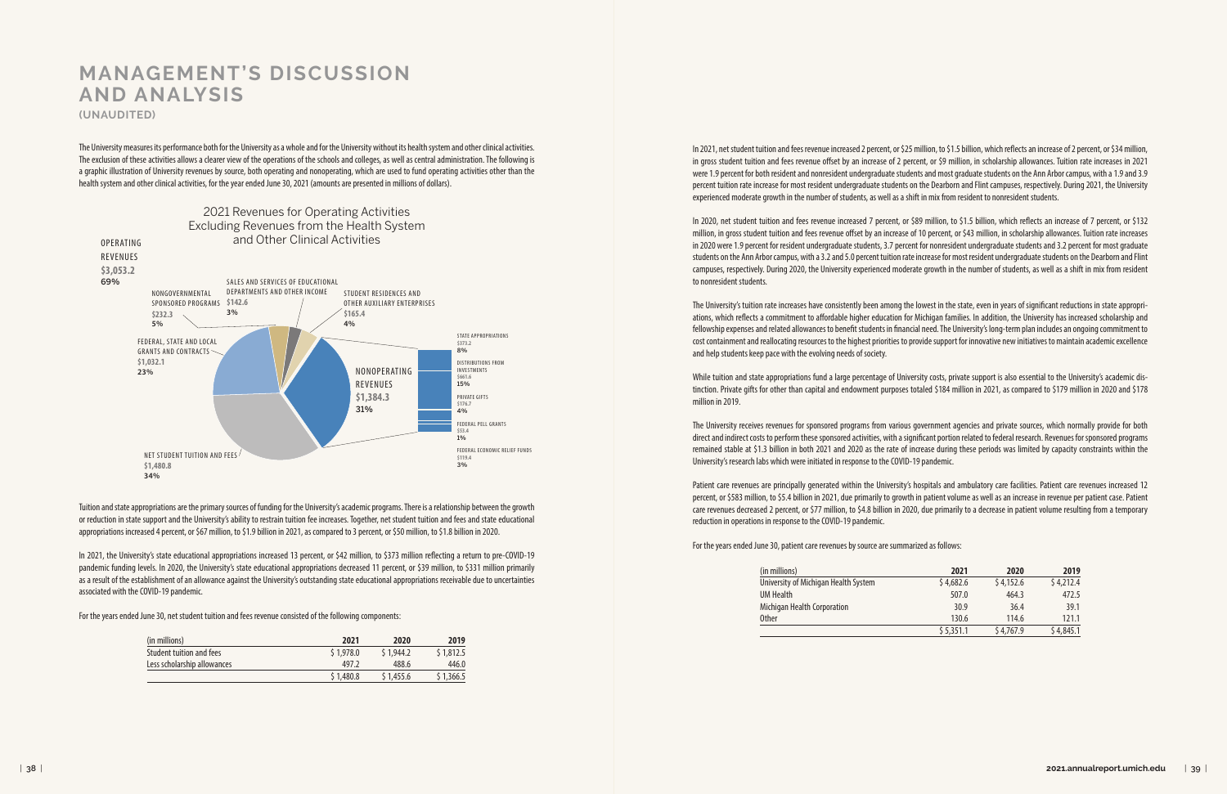The University measures its performance both for the University as a whole and for the University without its health system and other clinical activities. The exclusion of these activities allows a clearer view of the operations of the schools and colleges, as well as central administration. The following is a graphic illustration of University revenues by source, both operating and nonoperating, which are used to fund operating activities other than the health system and other clinical activities, for the year ended June 30, 2021 (amounts are presented in millions of dollars).

In 2021, net student tuition and fees revenue increased 2 percent, or \$25 million, to \$1.5 billion, which reflects an increase of 2 percent, or \$34 million, in gross student tuition and fees revenue offset by an increase of 2 percent, or \$9 million, in scholarship allowances. Tuition rate increases in 2021 were 1.9 percent for both resident and nonresident undergraduate students and most graduate students on the Ann Arbor campus, with a 1.9 and 3.9 percent tuition rate increase for most resident undergraduate students on the Dearborn and Flint campuses, respectively. During 2021, the University experienced moderate growth in the number of students, as well as a shift in mix from resident to nonresident students.

In 2020, net student tuition and fees revenue increased 7 percent, or \$89 million, to \$1.5 billion, which reflects an increase of 7 percent, or \$132 million, in gross student tuition and fees revenue offset by an increase of 10 percent, or \$43 million, in scholarship allowances. Tuition rate increases in 2020 were 1.9 percent for resident undergraduate students, 3.7 percent for nonresident undergraduate students and 3.2 percent for most graduate students on the Ann Arbor campus, with a 3.2 and 5.0 percent tuition rate increase for most resident undergraduate students on the Dearborn and Flint campuses, respectively. During 2020, the University experienced moderate growth in the number of students, as well as a shift in mix from resident to nonresident students.

The University's tuition rate increases have consistently been among the lowest in the state, even in years of significant reductions in state appropriations, which reflects a commitment to affordable higher education for Michigan families. In addition, the University has increased scholarship and fellowship expenses and related allowances to benefit students in financial need. The University's long-term plan includes an ongoing commitment to cost containment and reallocating resources to the highest priorities to provide support for innovative new initiatives to maintain academic excellence and help students keep pace with the evolving needs of society.

While tuition and state appropriations fund a large percentage of University costs, private support is also essential to the University's academic distinction. Private gifts for other than capital and endowment purposes totaled \$184 million in 2021, as compared to \$179 million in 2020 and \$178 million in 2019.

The University receives revenues for sponsored programs from various government agencies and private sources, which normally provide for both direct and indirect costs to perform these sponsored activities, with a significant portion related to federal research. Revenues for sponsored programs remained stable at \$1.3 billion in both 2021 and 2020 as the rate of increase during these periods was limited by capacity constraints within the University's research labs which were initiated in response to the COVID-19 pandemic.

Patient care revenues are principally generated within the University's hospitals and ambulatory care facilities. Patient care revenues increased 12 percent, or \$583 million, to \$5.4 billion in 2021, due primarily to growth in patient volume as well as an increase in revenue per patient case. Patient care revenues decreased 2 percent, or \$77 million, to \$4.8 billion in 2020, due primarily to a decrease in patient volume resulting from a temporary reduction in operations in response to the COVID-19 pandemic.

For the years ended June 30, patient care revenues by source are summarized as follows:

# **MANAGEMENT'S DISCUSSION AND ANALYSIS (UNAUDITED)**

Tuition and state appropriations are the primary sources of funding for the University's academic programs. There is a relationship between the growth or reduction in state support and the University's ability to restrain tuition fee increases. Together, net student tuition and fees and state educational appropriations increased 4 percent, or \$67 million, to \$1.9 billion in 2021, as compared to 3 percent, or \$50 million, to \$1.8 billion in 2020.

In 2021, the University's state educational appropriations increased 13 percent, or \$42 million, to \$373 million reflecting a return to pre-COVID-19 pandemic funding levels. In 2020, the University's state educational appropriations decreased 11 percent, or \$39 million, to \$331 million primarily as a result of the establishment of an allowance against the University's outstanding state educational appropriations receivable due to uncertainties associated with the COVID-19 pandemic.

For the years ended June 30, net student tuition and fees revenue consisted of the following components:



| (in millions)               | 2021      | 2020      | 2019      |
|-----------------------------|-----------|-----------|-----------|
| Student tuition and fees    | \$1.978.0 | \$1.944.2 | \$1,812.5 |
| Less scholarship allowances | 497.2     | 488.6     | 446.0     |
|                             | \$1,480.8 | \$1,455.6 | \$1,366.5 |

| (in millions)                        | 2021      | 2020      | 2019      |
|--------------------------------------|-----------|-----------|-----------|
| University of Michigan Health System | \$4,682.6 | \$4,152.6 | \$4,212.4 |
| UM Health                            | 507.0     | 464.3     | 472.5     |
| Michigan Health Corporation          | 30.9      | 36.4      | 39.1      |
| Other                                | 130.6     | 114.6     | 121.1     |
|                                      | \$5,351.1 | \$4,767.9 | \$4,845.1 |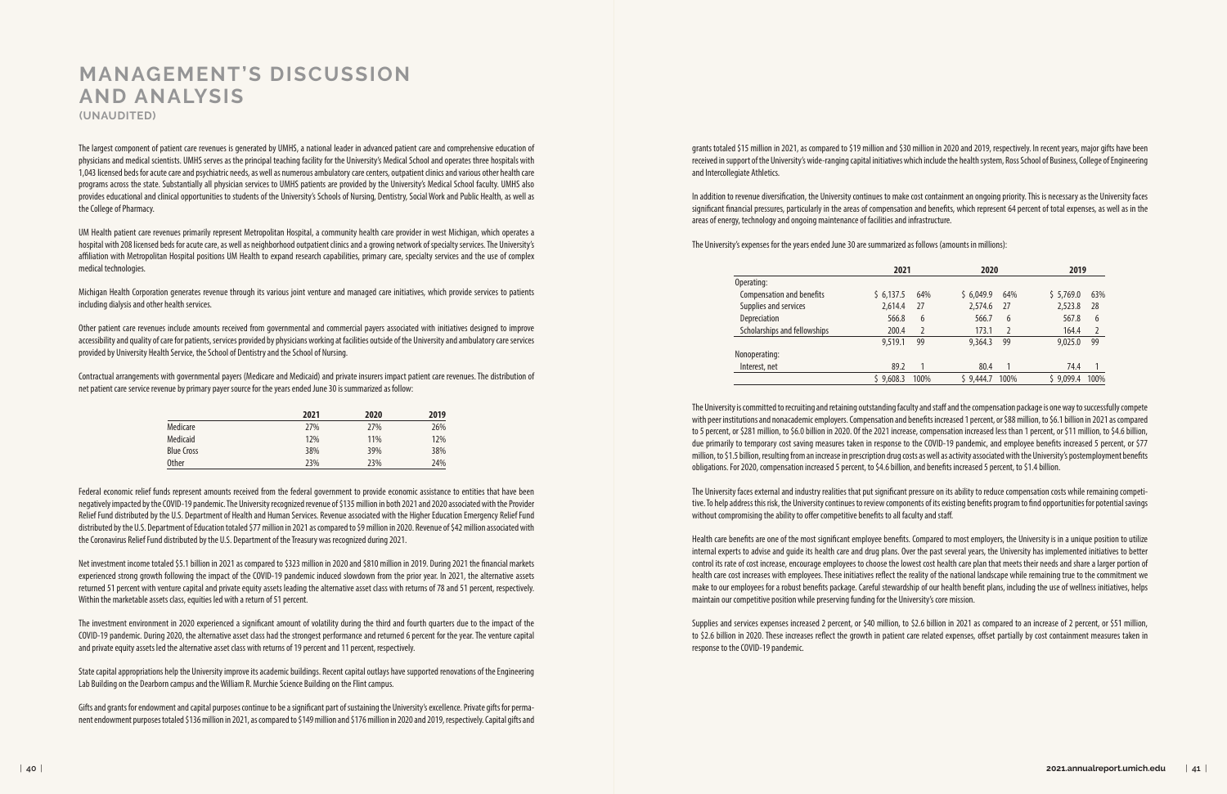The largest component of patient care revenues is generated by UMHS, a national leader in advanced patient care and comprehensive education of physicians and medical scientists. UMHS serves as the principal teaching facility for the University's Medical School and operates three hospitals with 1,043 licensed beds for acute care and psychiatric needs, as well as numerous ambulatory care centers, outpatient clinics and various other health care programs across the state. Substantially all physician services to UMHS patients are provided by the University's Medical School faculty. UMHS also provides educational and clinical opportunities to students of the University's Schools of Nursing, Dentistry, Social Work and Public Health, as well as the College of Pharmacy.

UM Health patient care revenues primarily represent Metropolitan Hospital, a community health care provider in west Michigan, which operates a hospital with 208 licensed beds for acute care, as well as neighborhood outpatient clinics and a growing network of specialty services. The University's affiliation with Metropolitan Hospital positions UM Health to expand research capabilities, primary care, specialty services and the use of complex medical technologies.

Michigan Health Corporation generates revenue through its various joint venture and managed care initiatives, which provide services to patients including dialysis and other health services.

Other patient care revenues include amounts received from governmental and commercial payers associated with initiatives designed to improve accessibility and quality of care for patients, services provided by physicians working at facilities outside of the University and ambulatory care services provided by University Health Service, the School of Dentistry and the School of Nursing.

Contractual arrangements with governmental payers (Medicare and Medicaid) and private insurers impact patient care revenues. The distribution of net patient care service revenue by primary payer source for the years ended June 30 is summarized as follow:

grants totaled \$15 million in 2021, as compared to \$19 million and \$30 million in 2020 and 2019, respectively. In recent years, major gifts have been received in support of the University's wide-ranging capital initiatives which include the health system, Ross School of Business, College of Engineering and Intercollegiate Athletics.

In addition to revenue diversification, the University continues to make cost containment an ongoing priority. This is necessary as the University faces significant financial pressures, particularly in the areas of compensation and benefits, which represent 64 percent of total expenses, as well as in the areas of energy, technology and ongoing maintenance of facilities and infrastructure.

The University's expenses for the years ended June 30 are summarized as follows (amounts in millions):

The University is committed to recruiting and retaining outstanding faculty and staff and the compensation package is one way to successfully compete with peer institutions and nonacademic employers. Compensation and benefits increased 1 percent, or \$88 million, to \$6.1 billion in 2021 as compared to 5 percent, or \$281 million, to \$6.0 billion in 2020. Of the 2021 increase, compensation increased less than 1 percent, or \$11 million, to \$4.6 billion, due primarily to temporary cost saving measures taken in response to the COVID-19 pandemic, and employee benefits increased 5 percent, or \$77 million, to \$1.5 billion, resulting from an increase in prescription drug costs as well as activity associated with the University's postemployment benefits obligations. For 2020, compensation increased 5 percent, to \$4.6 billion, and benefits increased 5 percent, to \$1.4 billion.

The University faces external and industry realities that put significant pressure on its ability to reduce compensation costs while remaining competitive. To help address this risk, the University continues to review components of its existing benefits program to find opportunities for potential savings without compromising the ability to offer competitive benefits to all faculty and staff.

Health care benefits are one of the most significant employee benefits. Compared to most employers, the University is in a unique position to utilize internal experts to advise and guide its health care and drug plans. Over the past several years, the University has implemented initiatives to better control its rate of cost increase, encourage employees to choose the lowest cost health care plan that meets their needs and share a larger portion of health care cost increases with employees. These initiatives reflect the reality of the national landscape while remaining true to the commitment we make to our employees for a robust benefits package. Careful stewardship of our health benefit plans, including the use of wellness initiatives, helps maintain our competitive position while preserving funding for the University's core mission.

Supplies and services expenses increased 2 percent, or \$40 million, to \$2.6 billion in 2021 as compared to an increase of 2 percent, or \$51 million, to \$2.6 billion in 2020. These increases reflect the growth in patient care related expenses, offset partially by cost containment measures taken in response to the COVID-19 pandemic.

# **MANAGEMENT'S DISCUSSION AND ANALYSIS (UNAUDITED)**

|                              | 2021      |      | 2020      |               | 2019      |                |
|------------------------------|-----------|------|-----------|---------------|-----------|----------------|
| Operating:                   |           |      |           |               |           |                |
| Compensation and benefits    | \$6,137.5 | 64%  | \$6.049.9 | 64%           | \$5,769.0 | 63%            |
| Supplies and services        | 2.614.4   | 27   | 2.574.6   | 27            | 2,523.8   | 28             |
| <b>Depreciation</b>          | 566.8     | 6    | 566.7     | 6             | 567.8     | 6              |
| Scholarships and fellowships | 200.4     | 2    | 173.1     | $\mathcal{P}$ | 164.4     | $\overline{2}$ |
|                              | 9,519.1   | 99   | 9.364.3   | 99            | 9,025.0   | 99             |
| Nonoperating:                |           |      |           |               |           |                |
| Interest, net                | 89.2      |      | 80.4      |               | 74.4      |                |
|                              | \$9,608.3 | 100% | \$9,444.7 | 100%          | \$9.099.4 | 100%           |

|                   | 2021 | 2020 | 2019 |
|-------------------|------|------|------|
| Medicare          | 27%  | 27%  | 26%  |
| Medicaid          | 12%  | 11%  | 12%  |
| <b>Blue Cross</b> | 38%  | 39%  | 38%  |
| <b>Other</b>      | 23%  | 23%  | 24%  |

Federal economic relief funds represent amounts received from the federal government to provide economic assistance to entities that have been negatively impacted by the COVID-19 pandemic. The University recognized revenue of \$135 million in both 2021 and 2020 associated with the Provider Relief Fund distributed by the U.S. Department of Health and Human Services. Revenue associated with the Higher Education Emergency Relief Fund distributed by the U.S. Department of Education totaled \$77 million in 2021 as compared to \$9 million in 2020. Revenue of \$42 million associated with the Coronavirus Relief Fund distributed by the U.S. Department of the Treasury was recognized during 2021.

Net investment income totaled \$5.1 billion in 2021 as compared to \$323 million in 2020 and \$810 million in 2019. During 2021 the financial markets experienced strong growth following the impact of the COVID-19 pandemic induced slowdown from the prior year. In 2021, the alternative assets returned 51 percent with venture capital and private equity assets leading the alternative asset class with returns of 78 and 51 percent, respectively. Within the marketable assets class, equities led with a return of 51 percent.

The investment environment in 2020 experienced a significant amount of volatility during the third and fourth quarters due to the impact of the COVID-19 pandemic. During 2020, the alternative asset class had the strongest performance and returned 6 percent for the year. The venture capital and private equity assets led the alternative asset class with returns of 19 percent and 11 percent, respectively.

State capital appropriations help the University improve its academic buildings. Recent capital outlays have supported renovations of the Engineering Lab Building on the Dearborn campus and the William R. Murchie Science Building on the Flint campus.

Gifts and grants for endowment and capital purposes continue to be a significant part of sustaining the University's excellence. Private gifts for permanent endowment purposes totaled \$136 million in 2021, as compared to \$149 million and \$176 million in 2020 and 2019, respectively. Capital gifts and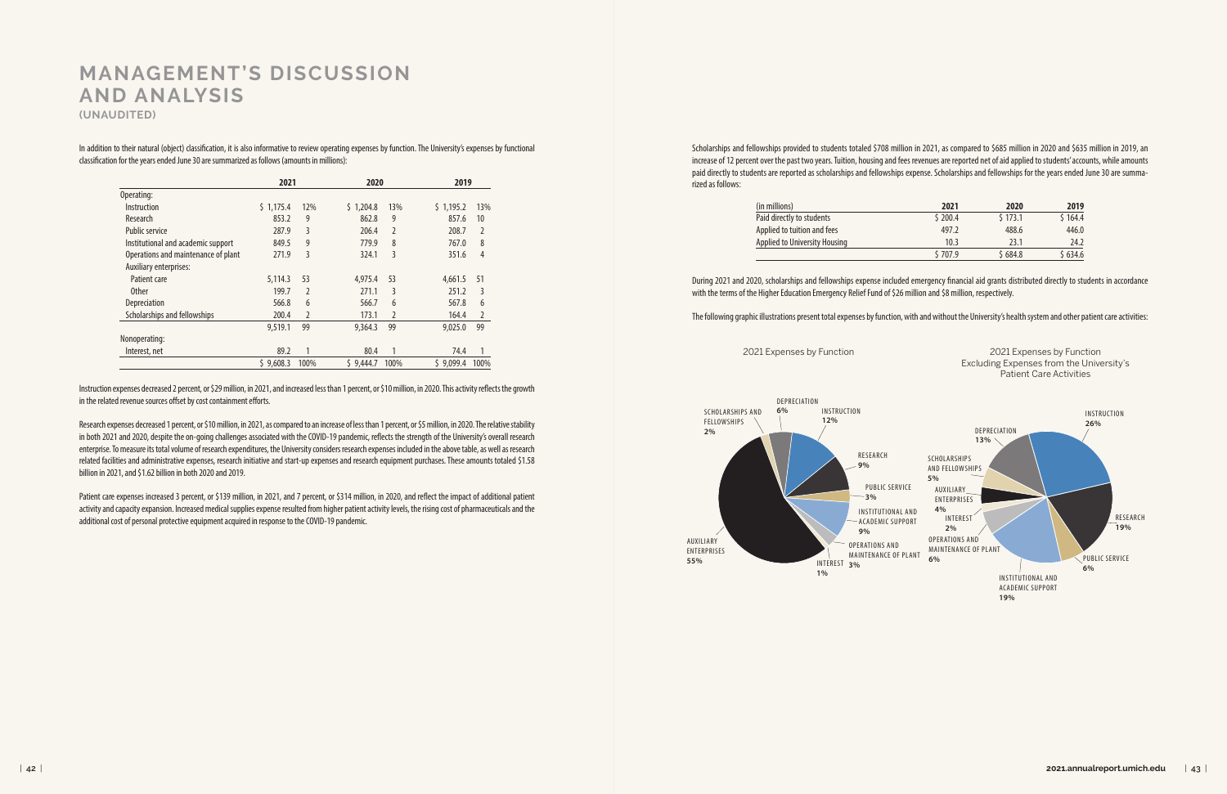Scholarships and fellowships provided to students totaled \$708 million in 2021, as compared to \$685 million in 2020 and \$635 million in 2019, an increase of 12 percent over the past two years. Tuition, housing and fees revenues are reported net of aid applied to students' accounts, while amounts paid directly to students are reported as scholarships and fellowships expense. Scholarships and fellowships for the years ended June 30 are summarized as follows:

| (in millions)                 |
|-------------------------------|
| Paid directly to students     |
| Applied to tuition and fees   |
| Applied to University Housing |
|                               |

In addition to their natural (object) classification, it is also informative to review operating expenses by function. The University's expenses by functional classification for the years ended June 30 are summarized as follows (amounts in millions):

Instruction expenses decreased 2 percent, or \$29 million, in 2021, and increased less than 1 percent, or \$10 million, in 2020. This activity reflects the growth in the related revenue sources offset by cost containment efforts.

Research expenses decreased 1 percent, or \$10 million, in 2021, as compared to an increase of less than 1 percent, or \$5 million, in 2020. The relative stability in both 2021 and 2020, despite the on-going challenges associated with the COVID-19 pandemic, reflects the strength of the University's overall research enterprise. To measure its total volume of research expenditures, the University considers research expenses included in the above table, as well as research related facilities and administrative expenses, research initiative and start-up expenses and research equipment purchases. These amounts totaled \$1.58 billion in 2021, and \$1.62 billion in both 2020 and 2019.

Patient care expenses increased 3 percent, or \$139 million, in 2021, and 7 percent, or \$314 million, in 2020, and reflect the impact of additional patient activity and capacity expansion. Increased medical supplies expense resulted from higher patient activity levels, the rising cost of pharmaceuticals and the additional cost of personal protective equipment acquired in response to the COVID-19 pandemic.

# **MANAGEMENT'S DISCUSSION AND ANALYSIS**

**(UNAUDITED)**

|                                     | 2021      |      | 2020      |               | 2019      |                |
|-------------------------------------|-----------|------|-----------|---------------|-----------|----------------|
| Operating:                          |           |      |           |               |           |                |
| Instruction                         | \$1,175.4 | 12%  | \$1,204.8 | 13%           | \$1,195.2 | 13%            |
| Research                            | 853.2     | 9    | 862.8     | 9             | 857.6     | 10             |
| <b>Public service</b>               | 287.9     | 3    | 206.4     | 2             | 208.7     | $\overline{2}$ |
| Institutional and academic support  | 849.5     | 9    | 779.9     | 8             | 767.0     | 8              |
| Operations and maintenance of plant | 271.9     | 3    | 324.1     | 3             | 351.6     | $\overline{4}$ |
| <b>Auxiliary enterprises:</b>       |           |      |           |               |           |                |
| Patient care                        | 5.114.3   | 53   | 4.975.4   | 53            | 4,661.5   | 51             |
| <b>Other</b>                        | 199.7     | 2    | 271.1     | 3             | 251.2     | 3              |
| Depreciation                        | 566.8     | 6    | 566.7     | 6             | 567.8     | 6              |
| Scholarships and fellowships        | 200.4     | 2    | 173.1     | $\mathcal{P}$ | 164.4     | 2              |
|                                     | 9.519.1   | 99   | 9,364.3   | 99            | 9.025.0   | 99             |
| Nonoperating:                       |           |      |           |               |           |                |
| Interest, net                       | 89.2      | 1    | 80.4      |               | 74.4      | $\mathbf{1}$   |
|                                     | \$9,608.3 | 100% | \$9,444.7 | 100%          | \$9.099.4 | 100%           |

| (in millions)                 | 2021    | 2020    | 2019    |
|-------------------------------|---------|---------|---------|
| Paid directly to students     | \$200.4 | \$173.1 | \$164.4 |
| Applied to tuition and fees   | 497.2   | 488.6   | 446.0   |
| Applied to University Housing | 10.3    | 23.1    | 24.2    |
|                               | \$707.9 | \$684.8 | \$634.6 |

During 2021 and 2020, scholarships and fellowships expense included emergency financial aid grants distributed directly to students in accordance with the terms of the Higher Education Emergency Relief Fund of \$26 million and \$8 million, respectively.

The following graphic illustrations present total expenses by function, with and without the University's health system and other patient care activities:

2021 Expenses by Function 2021 Expenses by Function Excluding Expenses from the University's Patient Care Activities